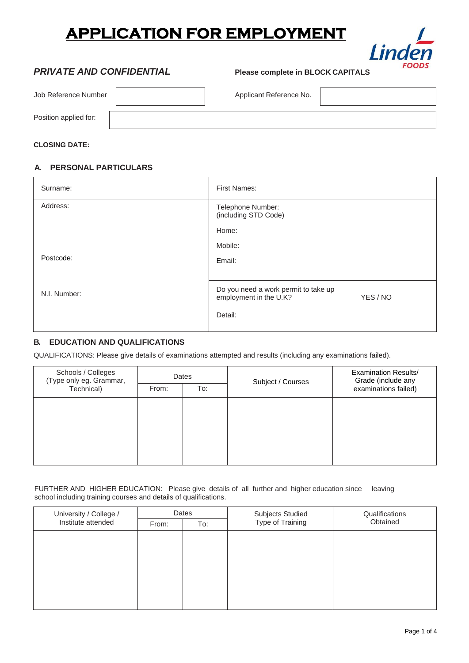## **APPLICATION FOR EMPLOYMENT**



### *PRIVATE AND CONFIDENTIAL* **Please complete in BLOCK CAPITALS**

| Job Reference Number  | Applicant Reference No. |  |
|-----------------------|-------------------------|--|
| Position applied for: |                         |  |

#### **CLOSING DATE:**

#### **A. PERSONAL PARTICULARS**

| Surname:     | <b>First Names:</b>                                                        |
|--------------|----------------------------------------------------------------------------|
| Address:     | Telephone Number:<br>(including STD Code)                                  |
|              | Home:                                                                      |
|              | Mobile:                                                                    |
| Postcode:    | Email:                                                                     |
|              |                                                                            |
| N.I. Number: | Do you need a work permit to take up<br>employment in the U.K?<br>YES / NO |
|              | Detail:                                                                    |

#### **B. EDUCATION AND QUALIFICATIONS**

QUALIFICATIONS: Please give details of examinations attempted and results (including any examinations failed).

| Schools / Colleges<br>(Type only eg. Grammar, | Dates |     | Subject / Courses | <b>Examination Results/</b><br>Grade (include any |  |
|-----------------------------------------------|-------|-----|-------------------|---------------------------------------------------|--|
| Technical)                                    | From: | To: |                   | examinations failed)                              |  |
|                                               |       |     |                   |                                                   |  |
|                                               |       |     |                   |                                                   |  |
|                                               |       |     |                   |                                                   |  |
|                                               |       |     |                   |                                                   |  |
|                                               |       |     |                   |                                                   |  |

FURTHER AND HIGHER EDUCATION: Please give details of all further and higher education since leaving school including training courses and details of qualifications.

| University / College /<br>Institute attended | Dates |     | <b>Subjects Studied</b> | Qualifications |
|----------------------------------------------|-------|-----|-------------------------|----------------|
|                                              | From: | To: | Type of Training        | Obtained       |
|                                              |       |     |                         |                |
|                                              |       |     |                         |                |
|                                              |       |     |                         |                |
|                                              |       |     |                         |                |
|                                              |       |     |                         |                |
|                                              |       |     |                         |                |
|                                              |       |     |                         |                |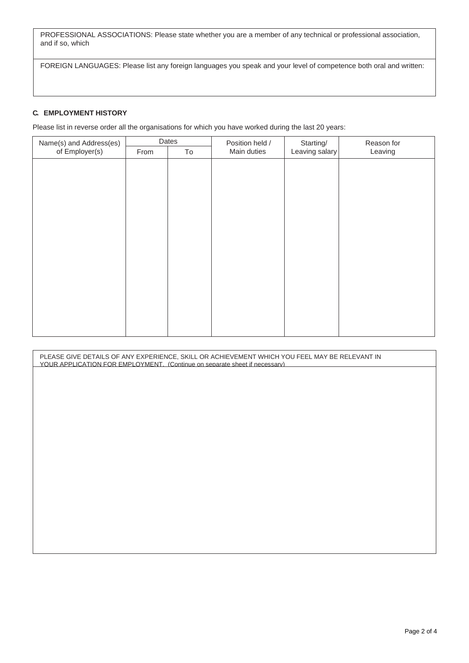PROFESSIONAL ASSOCIATIONS: Please state whether you are a member of any technical or professional association, and if so, which

FOREIGN LANGUAGES: Please list any foreign languages you speak and your level of competence both oral and written:

#### **C. EMPLOYMENT HISTORY**

Please list in reverse order all the organisations for which you have worked during the last 20 years:

| Name(s) and Address(es) | Dates |    | Position held / | Starting/      | Reason for |
|-------------------------|-------|----|-----------------|----------------|------------|
| of Employer(s)          | From  | To | Main duties     | Leaving salary | Leaving    |
|                         |       |    |                 |                |            |
|                         |       |    |                 |                |            |
|                         |       |    |                 |                |            |
|                         |       |    |                 |                |            |
|                         |       |    |                 |                |            |
|                         |       |    |                 |                |            |
|                         |       |    |                 |                |            |
|                         |       |    |                 |                |            |
|                         |       |    |                 |                |            |
|                         |       |    |                 |                |            |
|                         |       |    |                 |                |            |
|                         |       |    |                 |                |            |
|                         |       |    |                 |                |            |
|                         |       |    |                 |                |            |
|                         |       |    |                 |                |            |
|                         |       |    |                 |                |            |
|                         |       |    |                 |                |            |

| PLEASE GIVE DETAILS OF ANY EXPERIENCE, SKILL OR ACHIEVEMENT WHICH YOU FEEL MAY BE RELEVANT IN<br>YOUR APPLICATION FOR EMPLOYMENT. (Continue on separate sheet if necessary) |
|-----------------------------------------------------------------------------------------------------------------------------------------------------------------------------|
|                                                                                                                                                                             |
|                                                                                                                                                                             |
|                                                                                                                                                                             |
|                                                                                                                                                                             |
|                                                                                                                                                                             |
|                                                                                                                                                                             |
|                                                                                                                                                                             |
|                                                                                                                                                                             |
|                                                                                                                                                                             |
|                                                                                                                                                                             |
|                                                                                                                                                                             |
|                                                                                                                                                                             |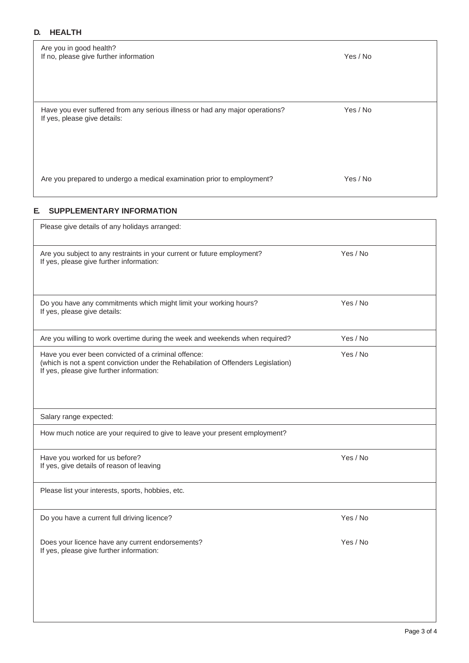#### **D. HEALTH**

| Are you in good health?<br>If no, please give further information                                            | Yes / No |
|--------------------------------------------------------------------------------------------------------------|----------|
| Have you ever suffered from any serious illness or had any major operations?<br>If yes, please give details: | Yes / No |
| Are you prepared to undergo a medical examination prior to employment?                                       | Yes / No |

#### **E. SUPPLEMENTARY INFORMATION**

| Please give details of any holidays arranged:                                                                                                                                        |          |  |
|--------------------------------------------------------------------------------------------------------------------------------------------------------------------------------------|----------|--|
| Are you subject to any restraints in your current or future employment?<br>If yes, please give further information:                                                                  | Yes / No |  |
| Do you have any commitments which might limit your working hours?<br>If yes, please give details:                                                                                    | Yes / No |  |
| Are you willing to work overtime during the week and weekends when required?                                                                                                         | Yes / No |  |
| Have you ever been convicted of a criminal offence:<br>(which is not a spent conviction under the Rehabilation of Offenders Legislation)<br>If yes, please give further information: | Yes / No |  |
| Salary range expected:                                                                                                                                                               |          |  |
| How much notice are your required to give to leave your present employment?                                                                                                          |          |  |
| Have you worked for us before?<br>If yes, give details of reason of leaving                                                                                                          | Yes / No |  |
| Please list your interests, sports, hobbies, etc.                                                                                                                                    |          |  |
| Do you have a current full driving licence?                                                                                                                                          | Yes / No |  |
| Does your licence have any current endorsements?<br>If yes, please give further information:                                                                                         | Yes / No |  |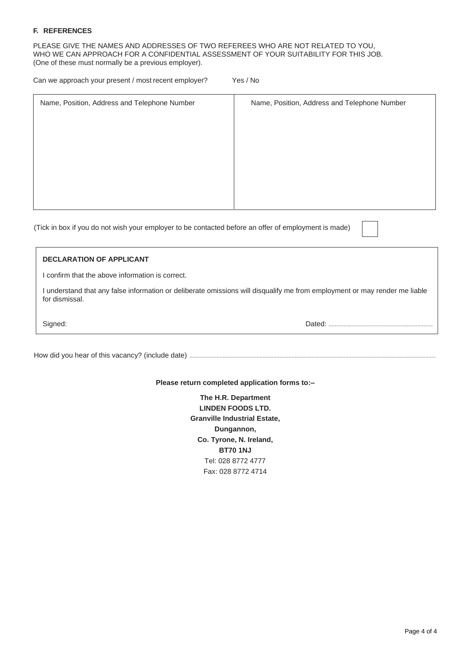#### **F. REFERENCES**

PLEASE GIVE THE NAMES AND ADDRESSES OF TWO REFEREES WHO ARE NOT RELATED TO YOU, WHO WE CAN APPROACH FOR A CONFIDENTIAL ASSESSMENT OF YOUR SUITABILITY FOR THIS JOB. (One of these must normally be a previous employer).

| Can we approach your present / most recent employer? | Yes / No |
|------------------------------------------------------|----------|
|------------------------------------------------------|----------|

| Name, Position, Address and Telephone Number | Name, Position, Address and Telephone Number |
|----------------------------------------------|----------------------------------------------|
|                                              |                                              |
|                                              |                                              |
|                                              |                                              |
|                                              |                                              |
|                                              |                                              |
|                                              |                                              |

(Tick in box if you do not wish your employer to be contacted before an offer of employment is made)

| <b>DECLARATION OF APPLICANT</b>                                                                                                            |        |
|--------------------------------------------------------------------------------------------------------------------------------------------|--------|
| confirm that the above information is correct.                                                                                             |        |
| understand that any false information or deliberate omissions will disqualify me from employment or may render me liable<br>for dismissal. |        |
| Signed:                                                                                                                                    | Dated: |
|                                                                                                                                            |        |

How did you hear of this vacancy? (include date) .................................................................................................................................................................

**Please return completed application forms to:–**

**The H.R. Department LINDEN FOODS LTD. Granville Industrial Estate, Dungannon, Co. Tyrone, N. Ireland, BT70 1NJ** Tel: 028 8772 4777 Fax: 028 8772 4714